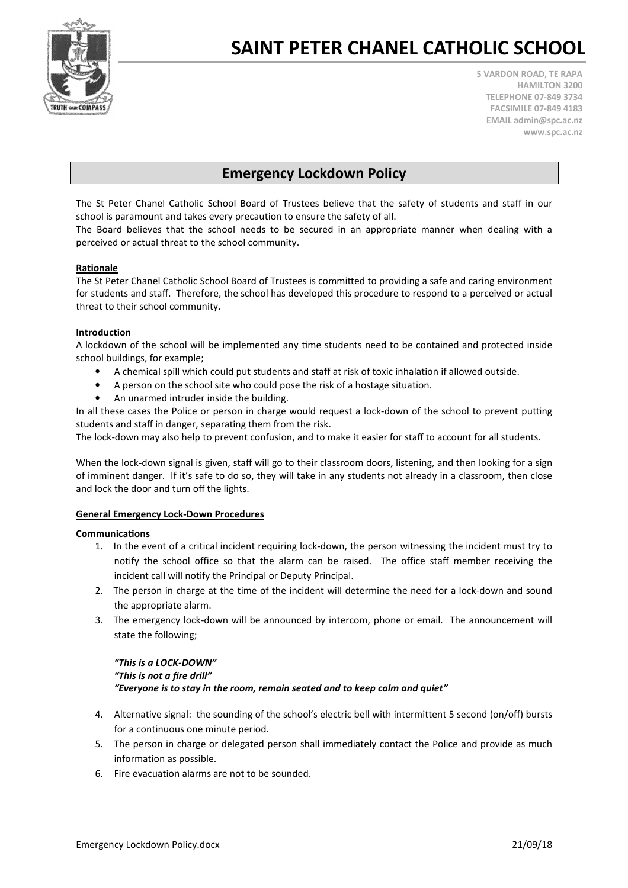

# SAINT PETER CHANEL CATHOLIC SCHOOL

5 VARDON ROAD, TE RAPA HAMILTON 3200 TELEPHONE 07-849 3734 FACSIMILE 07-849 4183 EMAIL admin@spc.ac.nz www.spc.ac.nz

### Emergency Lockdown Policy

The St Peter Chanel Catholic School Board of Trustees believe that the safety of students and staff in our school is paramount and takes every precaution to ensure the safety of all.

The Board believes that the school needs to be secured in an appropriate manner when dealing with a perceived or actual threat to the school community.

#### Rationale

The St Peter Chanel Catholic School Board of Trustees is committed to providing a safe and caring environment for students and staff. Therefore, the school has developed this procedure to respond to a perceived or actual threat to their school community.

#### Introduction

A lockdown of the school will be implemented any time students need to be contained and protected inside school buildings, for example;

- A chemical spill which could put students and staff at risk of toxic inhalation if allowed outside.
- A person on the school site who could pose the risk of a hostage situation.
- An unarmed intruder inside the building.

In all these cases the Police or person in charge would request a lock-down of the school to prevent putting students and staff in danger, separating them from the risk.

The lock-down may also help to prevent confusion, and to make it easier for staff to account for all students.

When the lock-down signal is given, staff will go to their classroom doors, listening, and then looking for a sign of imminent danger. If it's safe to do so, they will take in any students not already in a classroom, then close and lock the door and turn off the lights.

#### General Emergency Lock-Down Procedures

#### Communications

- 1. In the event of a critical incident requiring lock-down, the person witnessing the incident must try to notify the school office so that the alarm can be raised. The office staff member receiving the incident call will notify the Principal or Deputy Principal.
- 2. The person in charge at the time of the incident will determine the need for a lock-down and sound the appropriate alarm.
- 3. The emergency lock-down will be announced by intercom, phone or email. The announcement will state the following;

### "This is a LOCK-DOWN" "This is not a fire drill" "Everyone is to stay in the room, remain seated and to keep calm and quiet"

- 4. Alternative signal: the sounding of the school's electric bell with intermittent 5 second (on/off) bursts for a continuous one minute period.
- 5. The person in charge or delegated person shall immediately contact the Police and provide as much information as possible.
- 6. Fire evacuation alarms are not to be sounded.